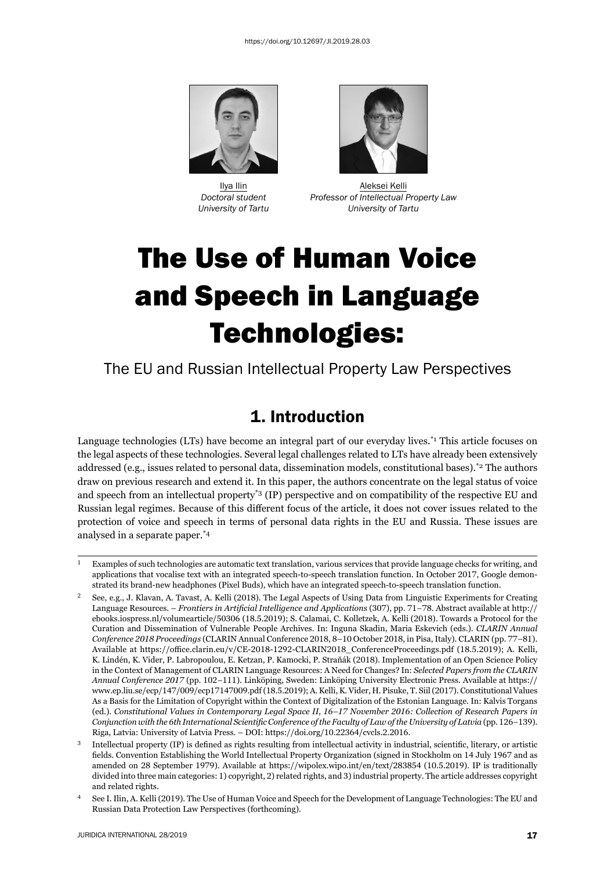



 Ilya Ilin Aleksei Kelli *Doctoral student Professor of Intellectual Property Law University of Tartu University of Tartu*

# The Use of Human Voice and Speech in Language Technologies:

The EU and Russian Intellectual Property Law Perspectives

# 1. Introduction

Language technologies (LTs) have become an integral part of our everyday lives.<sup>\*1</sup> This article focuses on the legal aspects of these technologies. Several legal challenges related to LTs have already been extensively addressed (e.g., issues related to personal data, dissemination models, constitutional bases).\*2 The authors draw on previous research and extend it. In this paper, the authors concentrate on the legal status of voice and speech from an intellectual property\*3 (IP) perspective and on compatibility of the respective EU and Russian legal regimes. Because of this different focus of the article, it does not cover issues related to the protection of voice and speech in terms of personal data rights in the EU and Russia. These issues are analysed in a separate paper.\*4

 $\mu$  Examples of such technologies are automatic text translation, various services that provide language checks for writing, and applications that vocalise text with an integrated speech-to-speech translation function. In October 2017, Google demonstrated its brand-new headphones (Pixel Buds), which have an integrated speech-to-speech translation function.

See, e.g., J. Klavan, A. Tavast, A. Kelli (2018). The Legal Aspects of Using Data from Linguistic Experiments for Creating Language Resources. – *Frontiers in Artificial Intelligence and Applications* (307), pp. 71–78. Abstract available at http:// ebooks.jospress.nl/volumearticle/50306 (18.5.2019); S. Calamai, C. Kolletzek, A. Kelli (2018). Towards a Protocol for the Curation and Dissemination of Vulnerable People Archives. In: Inguna Skadin, Maria Eskevich (eds.). *CLARIN Annual Conference 2018 Proceedings* (CLARIN Annual Conference 2018, 8–10 October 2018, in Pisa, Italy). CLARIN (pp. 77-81). Available at https://office.clarin.eu/v/CE-2018-1292-CLARIN2018\_ConferenceProceedings.pdf (18.5.2019); A. Kelli, K. Lindén, K. Vider, P. Labropoulou, E. Ketzan, P. Kamocki, P. Straňák (2018). Implementation of an Open Science Policy in the Context of Management of CLARIN Language Resources: A Need for Changes? In: *Selected Papers from the CLARIN Annual Conference ɳɱɲɸ* (pp. ɲɱɳ−ɲɲɲ). Linköping, Sweden: Linköping University Electronic Press. Available at https:// www.ep.liu.se/ecp/147/009/ecp17147009.pdf (18.5.2019); A. Kelli, K. Vider, H. Pisuke, T. Siil (2017). Constitutional Values As a Basis for the Limitation of Copyright within the Context of Digitalization of the Estonian Language. In: Kalvis Torgans (ed.). *Constitutional Values in Contemporary Legal Space II, 16–17 November 2016: Collection of Research Papers in Conjunction with the 6th International Scientific Conference of the Faculty of Law of the University of Latvia (pp. 126–139).* Riga, Latvia: University of Latvia Press. – DOI: https://doi.org/10.22364/cvcls.2.2016.

 $3$  Intellectual property (IP) is defined as rights resulting from intellectual activity in industrial, scientific, literary, or artistic fields. Convention Establishing the World Intellectual Property Organization (signed in Stockholm on 14 July 1967 and as amended on 28 September 1979). Available at https://wipolex.wipo.int/en/text/283854 (10.5.2019). IP is traditionally divided into three main categories: 1) copyright, 2) related rights, and 3) industrial property. The article addresses copyright and related rights.

<sup>&</sup>lt;sup>4</sup> See I. Ilin, A. Kelli (2019). The Use of Human Voice and Speech for the Development of Language Technologies: The EU and Russian Data Protection Law Perspectives (forthcoming).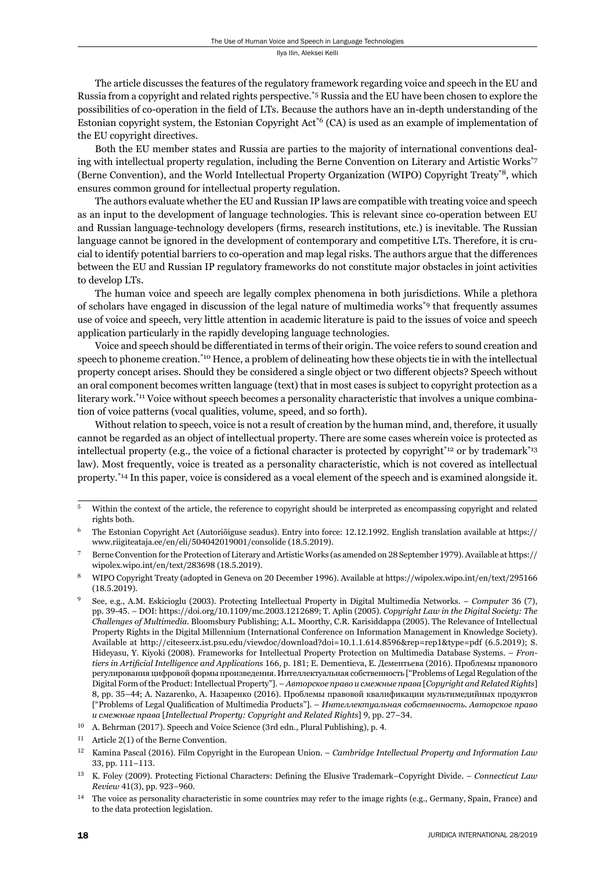The article discusses the features of the regulatory framework regarding voice and speech in the EU and Russia from a copyright and related rights perspective.\*5 Russia and the EU have been chosen to explore the possibilities of co-operation in the field of LTs. Because the authors have an in-depth understanding of the Estonian copyright system, the Estonian Copyright Act\*6 (CA) is used as an example of implementation of the EU copyright directives.

Both the EU member states and Russia are parties to the majority of international conventions dealing with intellectual property regulation, including the Berne Convention on Literary and Artistic Works\*7 (Berne Convention), and the World Intellectual Property Organization (WIPO) Copyright Treaty\*8, which ensures common ground for intellectual property regulation.

The authors evaluate whether the EU and Russian IP laws are compatible with treating voice and speech as an input to the development of language technologies. This is relevant since co-operation between EU and Russian language-technology developers (firms, research institutions, etc.) is inevitable. The Russian language cannot be ignored in the development of contemporary and competitive LTs. Therefore, it is crucial to identify potential barriers to co-operation and map legal risks. The authors argue that the differences between the EU and Russian IP regulatory frameworks do not constitute major obstacles in joint activities to develop LTs.

The human voice and speech are legally complex phenomena in both jurisdictions. While a plethora of scholars have engaged in discussion of the legal nature of multimedia works\*9 that frequently assumes use of voice and speech, very little attention in academic literature is paid to the issues of voice and speech application particularly in the rapidly developing language technologies.

Voice and speech should be differentiated in terms of their origin. The voice refers to sound creation and speech to phoneme creation.<sup>\*10</sup> Hence, a problem of delineating how these objects tie in with the intellectual property concept arises. Should they be considered a single object or two different objects? Speech without an oral component becomes written language (text) that in most cases is subject to copyright protection as a literary work.<sup>\*11</sup> Voice without speech becomes a personality characteristic that involves a unique combination of voice patterns (vocal qualities, volume, speed, and so forth).

Without relation to speech, voice is not a result of creation by the human mind, and, therefore, it usually cannot be regarded as an object of intellectual property. There are some cases wherein voice is protected as intellectual property (e.g., the voice of a fictional character is protected by copyright<sup>\*12</sup> or by trademark<sup>\*13</sup> law). Most frequently, voice is treated as a personality characteristic, which is not covered as intellectual property.\*14 In this paper, voice is considered as a vocal element of the speech and is examined alongside it.

<sup>&</sup>lt;sup>5</sup> Within the context of the article, the reference to copyright should be interpreted as encompassing copyright and related rights both.

 $^6$  The Estonian Copyright Act (Autoriõiguse seadus). Entry into force: 12.12.1992. English translation available at https:// www.riigiteataja.ee/en/eli/504042019001/consolide (18.5.2019).

<sup>&</sup>lt;sup>7</sup> Berne Convention for the Protection of Literary and Artistic Works (as amended on 28 September 1979). Available at https:// wipolex.wipo.int/en/text/283698 (18.5.2019).

<sup>&</sup>lt;sup>8</sup> WIPO Copyright Treaty (adopted in Geneva on 20 December 1996). Available at https://wipolex.wipo.int/en/text/295166  $(18.5.2019).$ 

See, e.g., A.M. Eskicioglu (2003). Protecting Intellectual Property in Digital Multimedia Networks. – *Computer* 36 (7), pp. 39-45. – DOI: https://doi.org/10.1109/mc.2003.1212689; T. Aplin (2005). *Copyright Law in the Digital Society: The Challenges of Multimedia*. Bloomsbury Publishing; A.L. Moorthy, C.R. Karisiddappa (ɳɱɱɶ). The Relevance of Intellectual Property Rights in the Digital Millennium (International Conference on Information Management in Knowledge Society). Available at http://citeseerx.ist.psu.edu/viewdoc/download?doi=10.1.1.614.8596&rep=rep1&type=pdf (6.5.2019); S. Hideyasu, Y. Kiyoki (2008). Frameworks for Intellectual Property Protection on Multimedia Database Systems. - *Frontiers in Artificial Intelligence and Applications* 166, p. 181; E. Dementieva, Е. Дементьева (2016). Проблемы правового регулирования цифровой формы произведения. Интеллектуальная собственность ["Problems of Legal Regulation of the Digital Form of the Product: Intellectual Property"]. – *Авторское право и смежные права* [*Copyright and Related Rights*] 8, pp. 35-44; A. Nazarenko, A. Назаренко (2016). Проблемы правовой квалификации мультимедийных продуктов ["Problems of Legal Qualifi cation of Multimedia Products"]. – *Интеллектуальная собственность. Авторское право и смежные права* [*Intellectual Property: Copyright and Related Rights*] 9, pp. 27-34.

<sup>&</sup>lt;sup>10</sup> A. Behrman (2017). Speech and Voice Science (3rd edn., Plural Publishing), p. 4.

 $11$  Article 2(1) of the Berne Convention.

<sup>&</sup>lt;sup>12</sup> Kamina Pascal (2016). Film Copyright in the European Union. – *Cambridge Intellectual Property and Information Law* 33, pp. 111-113.

<sup>&</sup>lt;sup>13</sup> K. Foley (2009). Protecting Fictional Characters: Defining the Elusive Trademark–Copyright Divide. – *Connecticut Law Review* 41(3), pp. 923-960.

<sup>&</sup>lt;sup>14</sup> The voice as personality characteristic in some countries may refer to the image rights (e.g., Germany, Spain, France) and to the data protection legislation.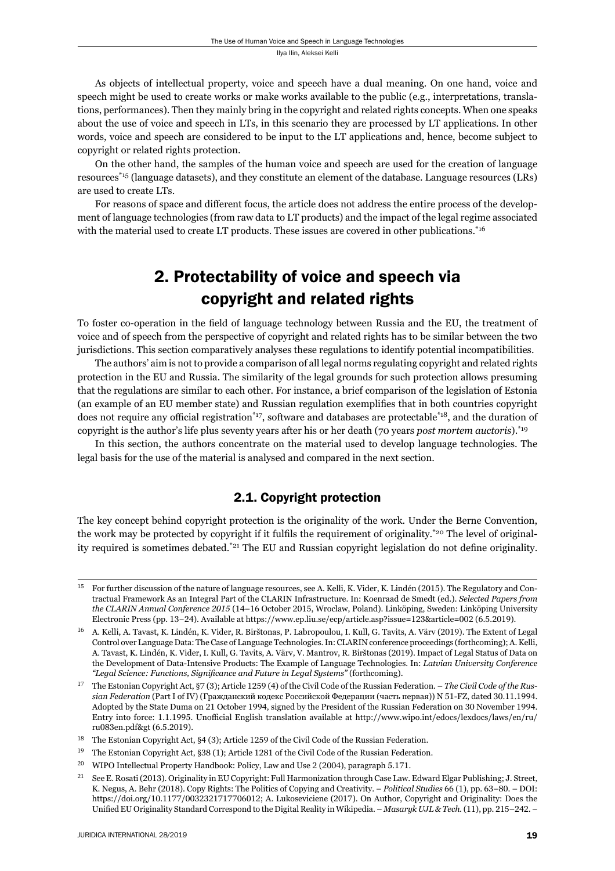As objects of intellectual property, voice and speech have a dual meaning. On one hand, voice and speech might be used to create works or make works available to the public (e.g., interpretations, translations, performances). Then they mainly bring in the copyright and related rights concepts. When one speaks about the use of voice and speech in LTs, in this scenario they are processed by LT applications. In other words, voice and speech are considered to be input to the LT applications and, hence, become subject to copyright or related rights protection.

On the other hand, the samples of the human voice and speech are used for the creation of language resources\*15 (language datasets), and they constitute an element of the database. Language resources (LRs) are used to create LTs.

For reasons of space and different focus, the article does not address the entire process of the development of language technologies (from raw data to LT products) and the impact of the legal regime associated with the material used to create LT products. These issues are covered in other publications.<sup>\*16</sup>

# 2. Protectability of voice and speech via copyright and related rights

To foster co-operation in the field of language technology between Russia and the EU, the treatment of voice and of speech from the perspective of copyright and related rights has to be similar between the two jurisdictions. This section comparatively analyses these regulations to identify potential incompatibilities.

The authors' aim is not to provide a comparison of all legal norms regulating copyright and related rights protection in the EU and Russia. The similarity of the legal grounds for such protection allows presuming that the regulations are similar to each other. For instance, a brief comparison of the legislation of Estonia (an example of an EU member state) and Russian regulation exemplifies that in both countries copyright does not require any official registration<sup>\*17</sup>, software and databases are protectable<sup>\*18</sup>, and the duration of copyright is the author's life plus seventy years after his or her death (70 years *post mortem auctoris*).\*19

In this section, the authors concentrate on the material used to develop language technologies. The legal basis for the use of the material is analysed and compared in the next section.

#### 2.1. Copyright protection

The key concept behind copyright protection is the originality of the work. Under the Berne Convention, the work may be protected by copyright if it fulfils the requirement of originality.<sup>\*20</sup> The level of originality required is sometimes debated.<sup>\*21</sup> The EU and Russian copyright legislation do not define originality.

For further discussion of the nature of language resources, see A. Kelli, K. Vider, K. Lindén (2015). The Regulatory and Contractual Framework As an Integral Part of the CLARIN Infrastructure. In: Koenraad de Smedt (ed.). *Selected Papers from the CLARIN Annual Conference 2015* (14–16 October 2015, Wroclaw, Poland). Linköping, Sweden: Linköping University Electronic Press (pp. 13–24). Available at https://www.ep.liu.se/ecp/article.asp?issue=123&article=002 (6.5.2019).

<sup>16</sup> A. Kelli, A. Tavast, K. Lindén, K. Vider, R. Birštonas, P. Labropoulou, I. Kull, G. Tavits, A. Värv (2019). The Extent of Legal Control over Language Data: The Case of Language Technologies. In: CLARIN conference proceedings (forthcoming); A. Kelli, A. Tavast, K. Lindén, K. Vider, I. Kull, G. Tavits, A. Värv, V. Mantrov, R. Birštonas (2019). Impact of Legal Status of Data on the Development of Data-Intensive Products: The Example of Language Technologies. In: *Latvian University Conference*  "Legal Science: Functions, Significance and Future in Legal Systems" (forthcoming).

<sup>&</sup>lt;sup>17</sup> The Estonian Copyright Act, §7 (3); Article 1259 (4) of the Civil Code of the Russian Federation. – *The Civil Code of the Russian Federation* (Part I of IV) (Гражданский кодекс Российской Федерации (часть первая)) N 51-FZ, dated 30.11.1994. Adopted by the State Duma on 21 October 1994, signed by the President of the Russian Federation on 30 November 1994. Entry into force: 1.1.1995. Unofficial English translation available at http://www.wipo.int/edocs/lexdocs/laws/en/ru/ ru083en.pdf&gt (6.5.2019).

<sup>&</sup>lt;sup>18</sup> The Estonian Copyright Act, §4 (3); Article 1259 of the Civil Code of the Russian Federation.

<sup>&</sup>lt;sup>19</sup> The Estonian Copyright Act, §38 (1); Article 1281 of the Civil Code of the Russian Federation.

<sup>&</sup>lt;sup>20</sup> WIPO Intellectual Property Handbook: Policy, Law and Use 2 (2004), paragraph 5.171.

<sup>&</sup>lt;sup>21</sup> See E. Rosati (2013). Originality in EU Copyright: Full Harmonization through Case Law. Edward Elgar Publishing; J. Street, K. Negus, A. Behr (2018). Copy Rights: The Politics of Copying and Creativity. – *Political Studies* 66 (1), pp. 63–80. – DOI: https://doi.org/10.1177/0032321717706012; A. Lukoseviciene (2017). On Author, Copyright and Originality: Does the Unified EU Originality Standard Correspond to the Digital Reality in Wikipedia. – *Masaryk UJL & Tech.* (11), pp. 215-242. –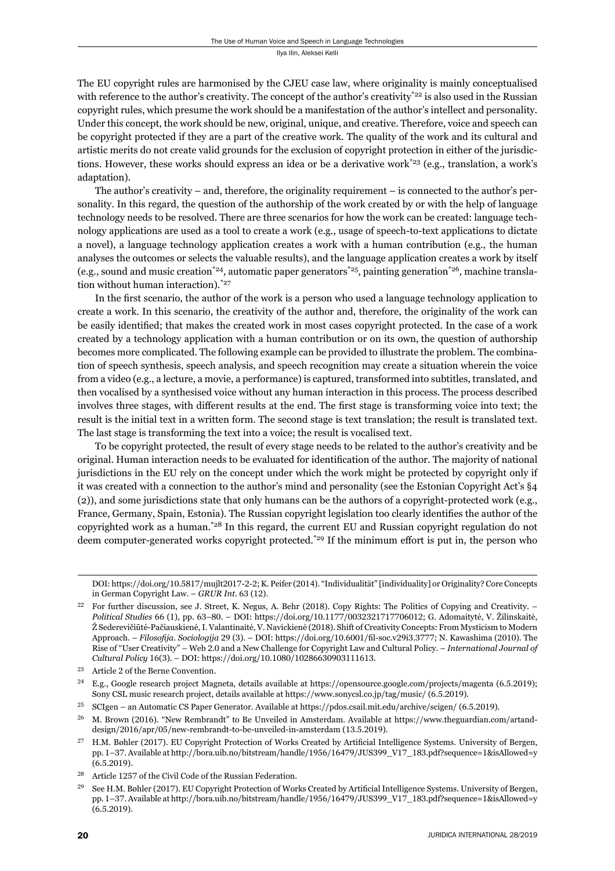The EU copyright rules are harmonised by the CJEU case law, where originality is mainly conceptualised with reference to the author's creativity. The concept of the author's creativity\*<sup>22</sup> is also used in the Russian copyright rules, which presume the work should be a manifestation of the author's intellect and personality. Under this concept, the work should be new, original, unique, and creative. Therefore, voice and speech can be copyright protected if they are a part of the creative work. The quality of the work and its cultural and artistic merits do not create valid grounds for the exclusion of copyright protection in either of the jurisdictions. However, these works should express an idea or be a derivative work<sup>\*23</sup> (e.g., translation, a work's adaptation).

The author's creativity – and, therefore, the originality requirement – is connected to the author's personality. In this regard, the question of the authorship of the work created by or with the help of language technology needs to be resolved. There are three scenarios for how the work can be created: language technology applications are used as a tool to create a work (e.g., usage of speech-to-text applications to dictate a novel), a language technology application creates a work with a human contribution (e.g., the human analyses the outcomes or selects the valuable results), and the language application creates a work by itself (e.g., sound and music creation<sup>\*24</sup>, automatic paper generators<sup>\*25</sup>, painting generation<sup>\*26</sup>, machine translation without human interaction).\*27

In the first scenario, the author of the work is a person who used a language technology application to create a work. In this scenario, the creativity of the author and, therefore, the originality of the work can be easily identified; that makes the created work in most cases copyright protected. In the case of a work created by a technology application with a human contribution or on its own, the question of authorship becomes more complicated. The following example can be provided to illustrate the problem. The combination of speech synthesis, speech analysis, and speech recognition may create a situation wherein the voice from a video (e.g., a lecture, a movie, a performance) is captured, transformed into subtitles, translated, and then vocalised by a synthesised voice without any human interaction in this process. The process described involves three stages, with different results at the end. The first stage is transforming voice into text; the result is the initial text in a written form. The second stage is text translation; the result is translated text. The last stage is transforming the text into a voice; the result is vocalised text.

To be copyright protected, the result of every stage needs to be related to the author's creativity and be original. Human interaction needs to be evaluated for identification of the author. The majority of national jurisdictions in the EU rely on the concept under which the work might be protected by copyright only if it was created with a connection to the author's mind and personality (see the Estonian Copyright Act's §4 (2)), and some jurisdictions state that only humans can be the authors of a copyright-protected work (e.g., France, Germany, Spain, Estonia). The Russian copyright legislation too clearly identifies the author of the copyrighted work as a human.\*28 In this regard, the current EU and Russian copyright regulation do not deem computer-generated works copyright protected.<sup>\*29</sup> If the minimum effort is put in, the person who

DOI: https://doi.org/10.5817/mujlt2017-2-2; K. Peifer (2014). "Individualität" [individuality] or Originality? Core Concepts in German Copyright Law. - *GRUR Int*. 63 (12).

<sup>23</sup> Article 2 of the Berne Convention.

For further discussion, see J. Street, K. Negus, A. Behr (2018). Copy Rights: The Politics of Copying and Creativity. – *Political Studies* 66 (1), pp. 63-80. – DOI: https://doi.org/10.1177/0032321717706012; G. Adomaitytė, V. Žilinskaitė, Ž Sederevičiūtė-Pačiauskienė, I. Valantinaitė, V. Navickienė (2018). Shift of Creativity Concepts: From Mysticism to Modern Approach. – *Filosofija. Sociologija* 29 (3). – DOI: https://doi.org/10.6001/fil-soc.v29i3.3777; N. Kawashima (2010). The Rise of "User Creativity" – Web 2.0 and a New Challenge for Copyright Law and Cultural Policy. – *International Journal of Cultural Policy* 16(3). – DOI: https://doi.org/10.1080/10286630903111613.

<sup>&</sup>lt;sup>24</sup> E.g., Google research project Magneta, details available at https://opensource.google.com/projects/magenta (6.5.2019); Sony CSL music research project, details available at https://www.sonycsl.co.jp/tag/music/ (6.5.2019).

<sup>&</sup>lt;sup>25</sup> SCIgen – an Automatic CS Paper Generator. Available at https://pdos.csail.mit.edu/archive/scigen/ (6.5.2019).

<sup>&</sup>lt;sup>26</sup> M. Brown (2016). "New Rembrandt" to Be Unveiled in Amsterdam. Available at https://www.theguardian.com/artanddesign/2016/apr/05/new-rembrandt-to-be-unveiled-in-amsterdam (13.5.2019).

<sup>&</sup>lt;sup>27</sup> H.M. Bøhler (2017). EU Copyright Protection of Works Created by Artificial Intelligence Systems. University of Bergen, pp. 1-37. Available at http://bora.uib.no/bitstream/handle/1956/16479/JUS399\_V17\_183.pdf?sequence=1&isAllowed=y  $(6.5.2019).$ 

<sup>&</sup>lt;sup>28</sup> Article 1257 of the Civil Code of the Russian Federation.

See H.M. Bøhler (2017). EU Copyright Protection of Works Created by Artificial Intelligence Systems. University of Bergen, pp. 1-37. Available at http://bora.uib.no/bitstream/handle/1956/16479/JUS399\_V17\_183.pdf?sequence=1&isAllowed=y  $(6.5.2019).$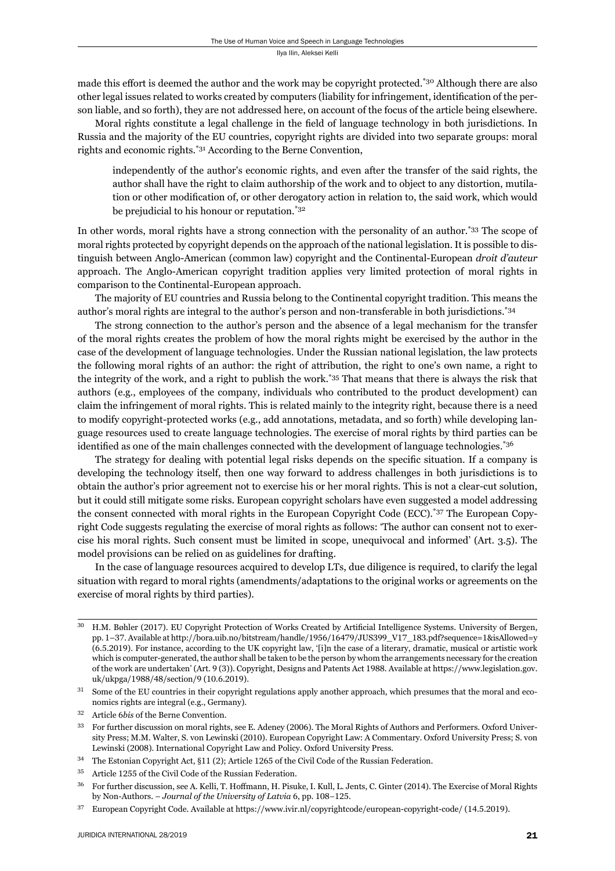made this effort is deemed the author and the work may be copyright protected.<sup>\*30</sup> Although there are also other legal issues related to works created by computers (liability for infringement, identification of the person liable, and so forth), they are not addressed here, on account of the focus of the article being elsewhere.

Moral rights constitute a legal challenge in the field of language technology in both jurisdictions. In Russia and the majority of the EU countries, copyright rights are divided into two separate groups: moral rights and economic rights.\*31 According to the Berne Convention,

independently of the author's economic rights, and even after the transfer of the said rights, the author shall have the right to claim authorship of the work and to object to any distortion, mutilation or other modification of, or other derogatory action in relation to, the said work, which would be prejudicial to his honour or reputation.\*32

In other words, moral rights have a strong connection with the personality of an author.<sup>\*33</sup> The scope of moral rights protected by copyright depends on the approach of the national legislation. It is possible to distinguish between Anglo-American (common law) copyright and the Continental-European *droit d'auteur* approach. The Anglo-American copyright tradition applies very limited protection of moral rights in comparison to the Continental-European approach.

The majority of EU countries and Russia belong to the Continental copyright tradition. This means the author's moral rights are integral to the author's person and non-transferable in both jurisdictions.\*34

The strong connection to the author's person and the absence of a legal mechanism for the transfer of the moral rights creates the problem of how the moral rights might be exercised by the author in the case of the development of language technologies. Under the Russian national legislation, the law protects the following moral rights of an author: the right of attribution, the right to one's own name, a right to the integrity of the work, and a right to publish the work.\*35 That means that there is always the risk that authors (e.g., employees of the company, individuals who contributed to the product development) can claim the infringement of moral rights. This is related mainly to the integrity right, because there is a need to modify copyright-protected works (e.g., add annotations, metadata, and so forth) while developing language resources used to create language technologies. The exercise of moral rights by third parties can be identified as one of the main challenges connected with the development of language technologies.<sup>\*36</sup>

The strategy for dealing with potential legal risks depends on the specific situation. If a company is developing the technology itself, then one way forward to address challenges in both jurisdictions is to obtain the author's prior agreement not to exercise his or her moral rights. This is not a clear-cut solution, but it could still mitigate some risks. European copyright scholars have even suggested a model addressing the consent connected with moral rights in the European Copyright Code (ECC).\*37 The European Copyright Code suggests regulating the exercise of moral rights as follows: 'The author can consent not to exercise his moral rights. Such consent must be limited in scope, unequivocal and informed' (Art. 3.5). The model provisions can be relied on as guidelines for drafting.

In the case of language resources acquired to develop LTs, due diligence is required, to clarify the legal situation with regard to moral rights (amendments/adaptations to the original works or agreements on the exercise of moral rights by third parties).

<sup>&</sup>lt;sup>30</sup> H.M. Bøhler (2017). EU Copyright Protection of Works Created by Artificial Intelligence Systems. University of Bergen, pp. 1-37. Available at http://bora.uib.no/bitstream/handle/1956/16479/JUS399\_V17\_183.pdf?sequence=1&isAllowed=y (ɷ.ɶ.ɳɱɲɺ). For instance, according to the UK copyright law, '[i]n the case of a literary, dramatic, musical or artistic work which is computer-generated, the author shall be taken to be the person by whom the arrangements necessary for the creation of the work are undertaken' (Art. 9 (3)). Copyright, Designs and Patents Act 1988. Available at https://www.legislation.gov. uk/ukpga/1988/48/section/9 (10.6.2019).

 $31$  Some of the EU countries in their copyright regulations apply another approach, which presumes that the moral and economics rights are integral (e.g., Germany).

<sup>&</sup>lt;sup>32</sup> Article 6*bis* of the Berne Convention.

For further discussion on moral rights, see E. Adeney (2006). The Moral Rights of Authors and Performers. Oxford University Press; M.M. Walter, S. von Lewinski (2010). European Copyright Law: A Commentary. Oxford University Press; S. von Lewinski (2008). International Copyright Law and Policy. Oxford University Press.

<sup>&</sup>lt;sup>34</sup> The Estonian Copyright Act, §11 (2); Article 1265 of the Civil Code of the Russian Federation.

<sup>&</sup>lt;sup>35</sup> Article 1255 of the Civil Code of the Russian Federation.

<sup>&</sup>lt;sup>36</sup> For further discussion, see A. Kelli, T. Hoffmann, H. Pisuke, I. Kull, L. Jents, C. Ginter (2014). The Exercise of Moral Rights by Non-Authors. – *Journal of the University of Latvia* 6, pp. 108–125.

 $37$  European Copyright Code. Available at https://www.ivir.nl/copyrightcode/european-copyright-code/ (14.5.2019).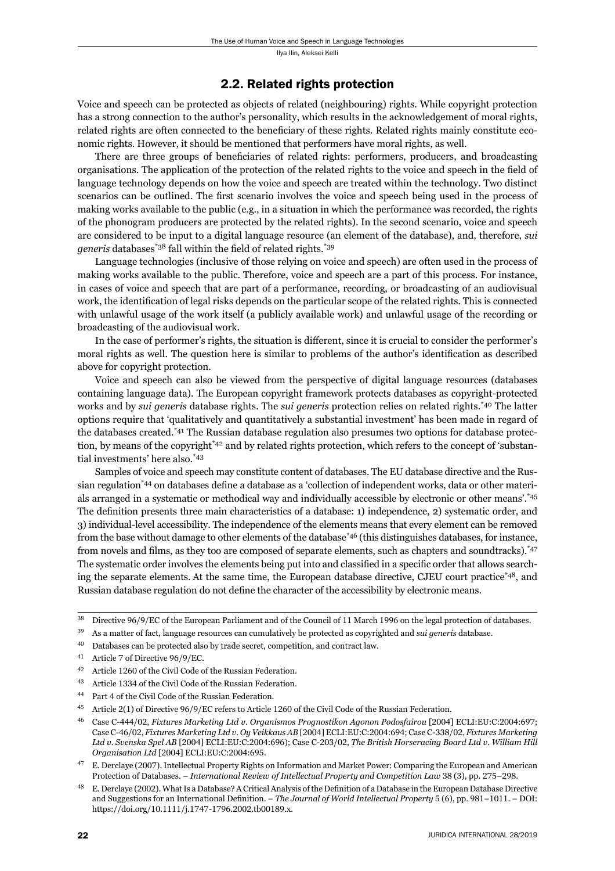#### 2.2. Related rights protection

Voice and speech can be protected as objects of related (neighbouring) rights. While copyright protection has a strong connection to the author's personality, which results in the acknowledgement of moral rights, related rights are often connected to the beneficiary of these rights. Related rights mainly constitute economic rights. However, it should be mentioned that performers have moral rights, as well.

There are three groups of beneficiaries of related rights: performers, producers, and broadcasting organisations. The application of the protection of the related rights to the voice and speech in the field of language technology depends on how the voice and speech are treated within the technology. Two distinct scenarios can be outlined. The first scenario involves the voice and speech being used in the process of making works available to the public (e.g., in a situation in which the performance was recorded, the rights of the phonogram producers are protected by the related rights). In the second scenario, voice and speech are considered to be input to a digital language resource (an element of the database), and, therefore, *sui generis* databases<sup>\*38</sup> fall within the field of related rights.<sup>\*39</sup>

Language technologies (inclusive of those relying on voice and speech) are often used in the process of making works available to the public. Therefore, voice and speech are a part of this process. For instance, in cases of voice and speech that are part of a performance, recording, or broadcasting of an audiovisual work, the identification of legal risks depends on the particular scope of the related rights. This is connected with unlawful usage of the work itself (a publicly available work) and unlawful usage of the recording or broadcasting of the audiovisual work.

In the case of performer's rights, the situation is different, since it is crucial to consider the performer's moral rights as well. The question here is similar to problems of the author's identification as described above for copyright protection.

Voice and speech can also be viewed from the perspective of digital language resources (databases containing language data). The European copyright framework protects databases as copyright-protected works and by *sui generis* database rights. The *sui generis* protection relies on related rights.\*40 The latter options require that 'qualitatively and quantitatively a substantial investment' has been made in regard of the databases created.\*41 The Russian database regulation also presumes two options for database protection, by means of the copyright<sup>\*42</sup> and by related rights protection, which refers to the concept of 'substantial investments' here also.\*43

Samples of voice and speech may constitute content of databases. The EU database directive and the Russian regulation<sup>\*44</sup> on databases define a database as a 'collection of independent works, data or other materials arranged in a systematic or methodical way and individually accessible by electronic or other means'.\*45 The definition presents three main characteristics of a database: 1) independence, 2) systematic order, and 3) individual-level accessibility. The independence of the elements means that every element can be removed from the base without damage to other elements of the database<sup>\*46</sup> (this distinguishes databases, for instance, from novels and films, as they too are composed of separate elements, such as chapters and soundtracks).<sup>\*47</sup> The systematic order involves the elements being put into and classified in a specific order that allows searching the separate elements. At the same time, the European database directive, CJEU court practice\*48, and Russian database regulation do not define the character of the accessibility by electronic means.

- ɴɺ As a matter of fact, language resources can cumulatively be protected as copyrighted and *sui generis* database.
- ɵɱ Databases can be protected also by trade secret, competition, and contract law.
- $41$  Article 7 of Directive  $96/9/EC$ .
- <sup>42</sup> Article 1260 of the Civil Code of the Russian Federation.
- <sup>43</sup> Article 1334 of the Civil Code of the Russian Federation.
- <sup>44</sup> Part 4 of the Civil Code of the Russian Federation.
- <sup>45</sup> Article 2(1) of Directive 96/9/EC refers to Article 1260 of the Civil Code of the Russian Federation.
- <sup>46</sup> Case C-444/02, *Fixtures Marketing Ltd v. Organismos Prognostikon Agonon Podosfairou* [2004] ECLI:EU:C:2004:697; Case C-46/02, *Fixtures Marketing Ltd v. Oy Veikkaus AB* [2004] ECLI:EU:C:2004:694; Case C-338/02, *Fixtures Marketing* Ltd v. Svenska Spel AB [2004] ECLI:EU:C:2004:696); Case C-203/02, The British Horseracing Board Ltd v. William Hill *Organisation Ltd* [2004] ECLI:EU:C:2004:695.
- E. Derclaye (2007). Intellectual Property Rights on Information and Market Power: Comparing the European and American Protection of Databases. – *International Review of Intellectual Property and Competition Law* 38 (3), pp. 275–298.
- E. Derclaye (2002). What Is a Database? A Critical Analysis of the Definition of a Database in the European Database Directive and Suggestions for an International Definition. – *The Journal of World Intellectual Property* 5 (6), pp. 981-1011. – DOI: https://doi.org/10.1111/j.1747-1796.2002.tb00189.x.

<sup>&</sup>lt;sup>38</sup> Directive 96/9/EC of the European Parliament and of the Council of 11 March 1996 on the legal protection of databases.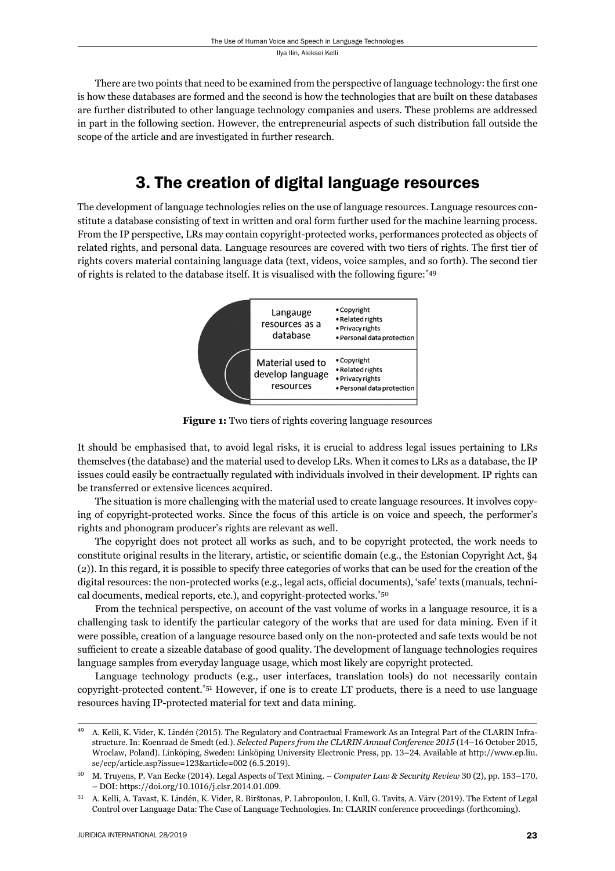There are two points that need to be examined from the perspective of language technology: the first one is how these databases are formed and the second is how the technologies that are built on these databases are further distributed to other language technology companies and users. These problems are addressed in part in the following section. However, the entrepreneurial aspects of such distribution fall outside the scope of the article and are investigated in further research.

## 3. The creation of digital language resources

The development of language technologies relies on the use of language resources. Language resources constitute a database consisting of text in written and oral form further used for the machine learning process. From the IP perspective, LRs may contain copyright-protected works, performances protected as objects of related rights, and personal data. Language resources are covered with two tiers of rights. The first tier of rights covers material containing language data (text, videos, voice samples, and so forth). The second tier of rights is related to the database itself. It is visualised with the following figure:  $*49$ 



**Figure 1:** Two tiers of rights covering language resources

It should be emphasised that, to avoid legal risks, it is crucial to address legal issues pertaining to LRs themselves (the database) and the material used to develop LRs. When it comes to LRs as a database, the IP issues could easily be contractually regulated with individuals involved in their development. IP rights can be transferred or extensive licences acquired.

The situation is more challenging with the material used to create language resources. It involves copying of copyright-protected works. Since the focus of this article is on voice and speech, the performer's rights and phonogram producer's rights are relevant as well.

The copyright does not protect all works as such, and to be copyright protected, the work needs to constitute original results in the literary, artistic, or scientific domain (e.g., the Estonian Copyright Act, §4 (2)). In this regard, it is possible to specify three categories of works that can be used for the creation of the digital resources: the non-protected works (e.g., legal acts, official documents), 'safe' texts (manuals, technical documents, medical reports, etc.), and copyright-protected works.\*50

From the technical perspective, on account of the vast volume of works in a language resource, it is a challenging task to identify the particular category of the works that are used for data mining. Even if it were possible, creation of a language resource based only on the non-protected and safe texts would be not sufficient to create a sizeable database of good quality. The development of language technologies requires language samples from everyday language usage, which most likely are copyright protected.

Language technology products (e.g., user interfaces, translation tools) do not necessarily contain copyright-protected content.\*51 However, if one is to create LT products, there is a need to use language resources having IP-protected material for text and data mining.

<sup>&</sup>lt;sup>49</sup> A. Kelli, K. Vider, K. Lindén (2015). The Regulatory and Contractual Framework As an Integral Part of the CLARIN Infrastructure. In: Koenraad de Smedt (ed.). *Selected Papers from the CLARIN Annual Conference 2015* (14-16 October 2015, Wroclaw, Poland). Linköping, Sweden: Linköping University Electronic Press, pp. 13-24. Available at http://www.ep.liu. se/ecp/article.asp?issue=123&article=002 (6.5.2019).

<sup>&</sup>lt;sup>50</sup> M. Truyens, P. Van Eecke (2014). Legal Aspects of Text Mining. – *Computer Law & Security Review* 30 (2), pp. 153–170. - DOI: https://doi.org/10.1016/j.clsr.2014.01.009.

<sup>51</sup> A. Kelli, A. Tavast, K. Lindén, K. Vider, R. Birštonas, P. Labropoulou, I. Kull, G. Tavits, A. Värv (2019). The Extent of Legal Control over Language Data: The Case of Language Technologies. In: CLARIN conference proceedings (forthcoming).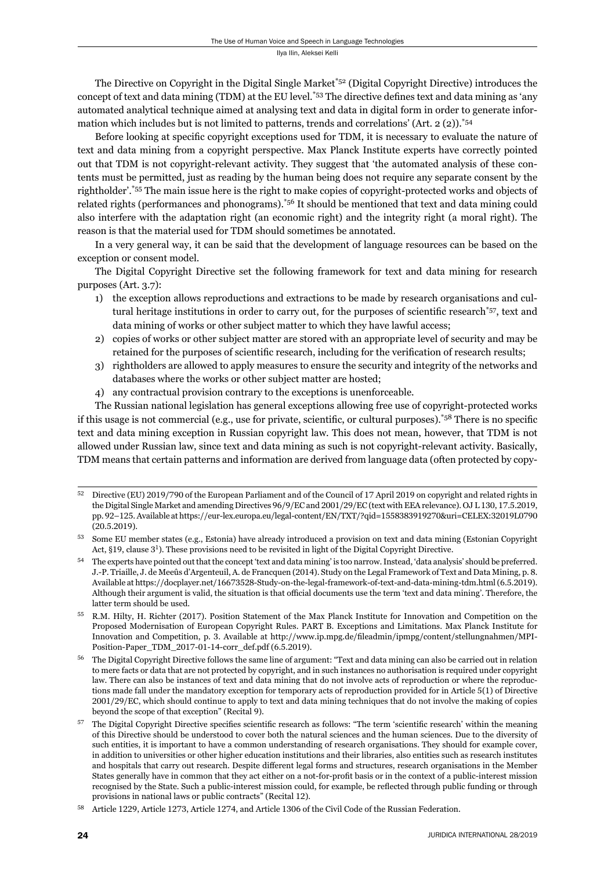The Directive on Copyright in the Digital Single Market\*52 (Digital Copyright Directive) introduces the concept of text and data mining (TDM) at the EU level.<sup>\*53</sup> The directive defines text and data mining as 'any automated analytical technique aimed at analysing text and data in digital form in order to generate information which includes but is not limited to patterns, trends and correlations' (Art.  $2(2)$ ).<sup>\*54</sup>

Before looking at specific copyright exceptions used for TDM, it is necessary to evaluate the nature of text and data mining from a copyright perspective. Max Planck Institute experts have correctly pointed out that TDM is not copyright-relevant activity. They suggest that 'the automated analysis of these contents must be permitted, just as reading by the human being does not require any separate consent by the rightholder'.\*55 The main issue here is the right to make copies of copyright-protected works and objects of related rights (performances and phonograms).\*56 It should be mentioned that text and data mining could also interfere with the adaptation right (an economic right) and the integrity right (a moral right). The reason is that the material used for TDM should sometimes be annotated.

In a very general way, it can be said that the development of language resources can be based on the exception or consent model.

The Digital Copyright Directive set the following framework for text and data mining for research purposes (Art. 3.7):

- 1) the exception allows reproductions and extractions to be made by research organisations and cultural heritage institutions in order to carry out, for the purposes of scientific research<sup>\*57</sup>, text and data mining of works or other subject matter to which they have lawful access;
- 2) copies of works or other subject matter are stored with an appropriate level of security and may be retained for the purposes of scientific research, including for the verification of research results;
- 3) rightholders are allowed to apply measures to ensure the security and integrity of the networks and databases where the works or other subject matter are hosted;
- 4) any contractual provision contrary to the exceptions is unenforceable.

The Russian national legislation has general exceptions allowing free use of copyright-protected works if this usage is not commercial (e.g., use for private, scientific, or cultural purposes).<sup>\*58</sup> There is no specific text and data mining exception in Russian copyright law. This does not mean, however, that TDM is not allowed under Russian law, since text and data mining as such is not copyright-relevant activity. Basically, TDM means that certain patterns and information are derived from language data (often protected by copy-

Directive (EU) 2019/790 of the European Parliament and of the Council of 17 April 2019 on copyright and related rights in the Digital Single Market and amending Directives 96/9/EC and  $2001/29$ /EC (text with EEA relevance). OJ L 130, 17.5.2019, pp. 92-125. Available at https://eur-lex.europa.eu/legal-content/EN/TXT/?qid=1558383919270&uri=CELEX:32019L0790  $(20.5.2019).$ 

ɶɴ Some EU member states (e.g., Estonia) have already introduced a provision on text and data mining (Estonian Copyright Act, §19, clause 3<sup>1</sup>). These provisions need to be revisited in light of the Digital Copyright Directive.

<sup>&</sup>lt;sup>54</sup> The experts have pointed out that the concept 'text and data mining' is too narrow. Instead, 'data analysis' should be preferred. J.-P. Triaille, J. de Meeûs d'Argenteuil, A. de Francquen (2014). Study on the Legal Framework of Text and Data Mining, p. 8. Available at https://docplayer.net/16673528-Study-on-the-legal-framework-of-text-and-data-mining-tdm.html (6.5.2019). Although their argument is valid, the situation is that official documents use the term 'text and data mining'. Therefore, the latter term should be used.

R.M. Hilty, H. Richter (2017). Position Statement of the Max Planck Institute for Innovation and Competition on the Proposed Modernisation of European Copyright Rules. PART B. Exceptions and Limitations. Max Planck Institute for Innovation and Competition, p. 3. Available at http://www.ip.mpg.de/fileadmin/ipmpg/content/stellungnahmen/MPI-Position-Paper\_TDM\_2017-01-14-corr\_def.pdf (6.5.2019).

<sup>&</sup>lt;sup>56</sup> The Digital Copyright Directive follows the same line of argument: "Text and data mining can also be carried out in relation to mere facts or data that are not protected by copyright, and in such instances no authorisation is required under copyright law. There can also be instances of text and data mining that do not involve acts of reproduction or where the reproductions made fall under the mandatory exception for temporary acts of reproduction provided for in Article 5(1) of Directive ɳɱɱɲ/ɳɺ/EC, which should continue to apply to text and data mining techniques that do not involve the making of copies beyond the scope of that exception" (Recital 9).

 $57$  The Digital Copyright Directive specifies scientific research as follows: "The term 'scientific research' within the meaning of this Directive should be understood to cover both the natural sciences and the human sciences. Due to the diversity of such entities, it is important to have a common understanding of research organisations. They should for example cover, in addition to universities or other higher education institutions and their libraries, also entities such as research institutes and hospitals that carry out research. Despite different legal forms and structures, research organisations in the Member States generally have in common that they act either on a not-for-profit basis or in the context of a public-interest mission recognised by the State. Such a public-interest mission could, for example, be reflected through public funding or through provisions in national laws or public contracts" (Recital 12).

Article 1229, Article 1273, Article 1274, and Article 1306 of the Civil Code of the Russian Federation.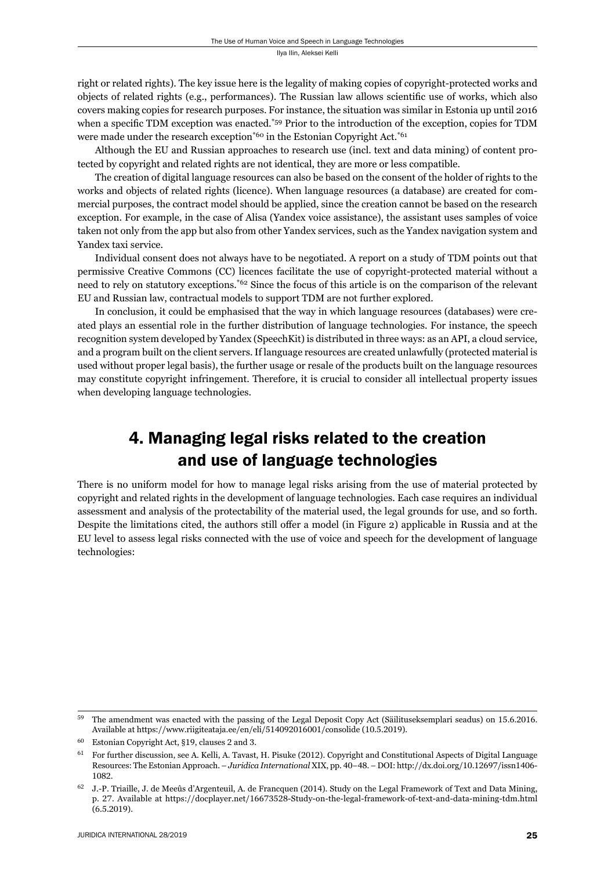right or related rights). The key issue here is the legality of making copies of copyright-protected works and objects of related rights (e.g., performances). The Russian law allows scientific use of works, which also covers making copies for research purposes. For instance, the situation was similar in Estonia up until 2016 when a specific TDM exception was enacted.<sup>\*59</sup> Prior to the introduction of the exception, copies for TDM were made under the research exception<sup>\*60</sup> in the Estonian Copyright Act.<sup>\*61</sup>

Although the EU and Russian approaches to research use (incl. text and data mining) of content protected by copyright and related rights are not identical, they are more or less compatible.

The creation of digital language resources can also be based on the consent of the holder of rights to the works and objects of related rights (licence). When language resources (a database) are created for commercial purposes, the contract model should be applied, since the creation cannot be based on the research exception. For example, in the case of Alisa (Yandex voice assistance), the assistant uses samples of voice taken not only from the app but also from other Yandex services, such as the Yandex navigation system and Yandex taxi service.

Individual consent does not always have to be negotiated. A report on a study of TDM points out that permissive Creative Commons (CC) licences facilitate the use of copyright-protected material without a need to rely on statutory exceptions.\*62 Since the focus of this article is on the comparison of the relevant EU and Russian law, contractual models to support TDM are not further explored.

In conclusion, it could be emphasised that the way in which language resources (databases) were created plays an essential role in the further distribution of language technologies. For instance, the speech recognition system developed by Yandex (SpeechKit) is distributed in three ways: as an API, a cloud service, and a program built on the client servers. If language resources are created unlawfully (protected material is used without proper legal basis), the further usage or resale of the products built on the language resources may constitute copyright infringement. Therefore, it is crucial to consider all intellectual property issues when developing language technologies.

# 4. Managing legal risks related to the creation and use of language technologies

There is no uniform model for how to manage legal risks arising from the use of material protected by copyright and related rights in the development of language technologies. Each case requires an individual assessment and analysis of the protectability of the material used, the legal grounds for use, and so forth. Despite the limitations cited, the authors still offer a model (in Figure 2) applicable in Russia and at the EU level to assess legal risks connected with the use of voice and speech for the development of language technologies:

 $^{59}$  The amendment was enacted with the passing of the Legal Deposit Copy Act (Säilituseksemplari seadus) on 15.6.2016. Available at https://www.riigiteataja.ee/en/eli/514092016001/consolide (10.5.2019).

 $60$  Estonian Copyright Act, §19, clauses 2 and 3.

For further discussion, see A. Kelli, A. Tavast, H. Pisuke (2012). Copyright and Constitutional Aspects of Digital Language Resources: The Estonian Approach. – *Juridica International* XIX, pp. 40–48. – DOI: http://dx.doi.org/10.12697/issn1406-1082.

 $^{62}$  J.-P. Triaille, J. de Meeûs d'Argenteuil, A. de Francquen (2014). Study on the Legal Framework of Text and Data Mining, p. 27. Available at https://docplayer.net/16673528-Study-on-the-legal-framework-of-text-and-data-mining-tdm.html  $(6.5.2019).$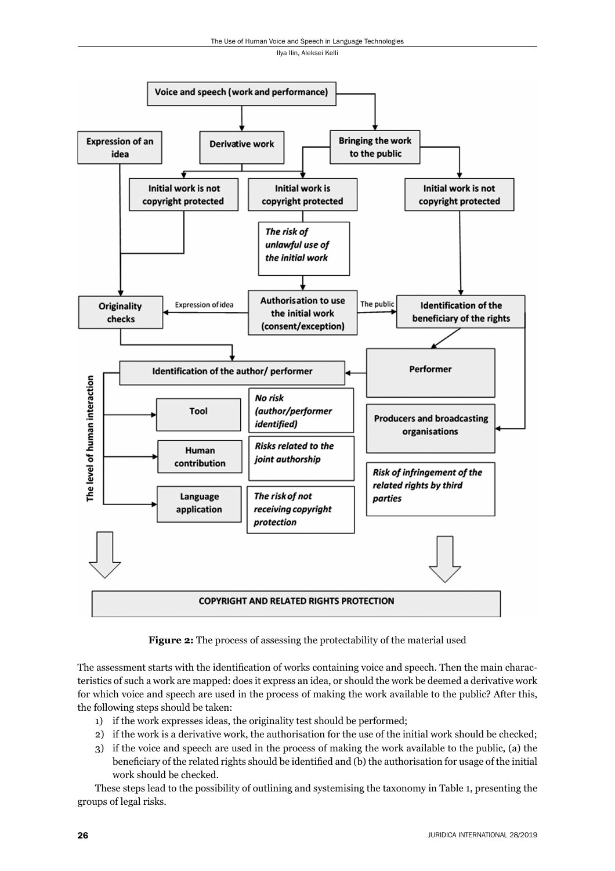

**Figure 2:** The process of assessing the protectability of the material used

The assessment starts with the identification of works containing voice and speech. Then the main characteristics of such a work are mapped: does it express an idea, or should the work be deemed a derivative work for which voice and speech are used in the process of making the work available to the public? After this, the following steps should be taken:

- 1) if the work expresses ideas, the originality test should be performed;
- 2) if the work is a derivative work, the authorisation for the use of the initial work should be checked;
- 3) if the voice and speech are used in the process of making the work available to the public, (a) the beneficiary of the related rights should be identified and (b) the authorisation for usage of the initial work should be checked.

These steps lead to the possibility of outlining and systemising the taxonomy in Table 1, presenting the groups of legal risks.